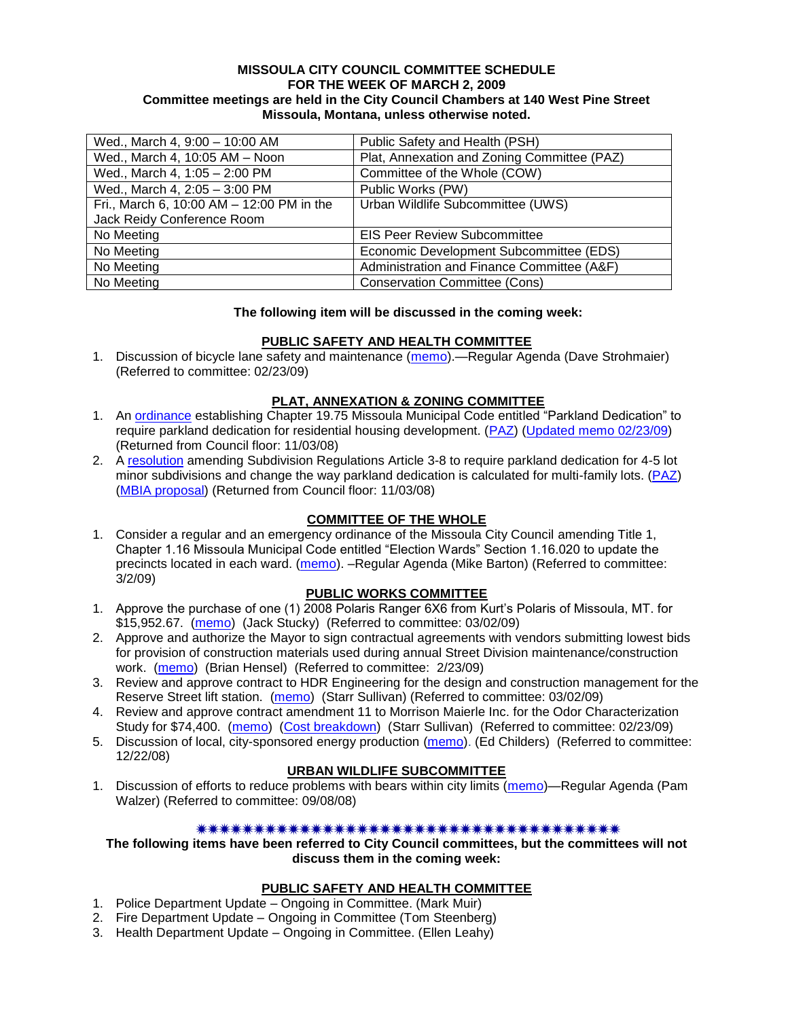#### **MISSOULA CITY COUNCIL COMMITTEE SCHEDULE FOR THE WEEK OF MARCH 2, 2009 Committee meetings are held in the City Council Chambers at 140 West Pine Street Missoula, Montana, unless otherwise noted.**

| Wed., March 4, 9:00 - 10:00 AM            | Public Safety and Health (PSH)              |
|-------------------------------------------|---------------------------------------------|
| Wed., March 4, 10:05 AM - Noon            | Plat, Annexation and Zoning Committee (PAZ) |
| Wed., March 4, 1:05 - 2:00 PM             | Committee of the Whole (COW)                |
| Wed., March 4, 2:05 - 3:00 PM             | Public Works (PW)                           |
| Fri., March 6, 10:00 AM - 12:00 PM in the | Urban Wildlife Subcommittee (UWS)           |
| Jack Reidy Conference Room                |                                             |
| No Meeting                                | <b>EIS Peer Review Subcommittee</b>         |
| No Meeting                                | Economic Development Subcommittee (EDS)     |
| No Meeting                                | Administration and Finance Committee (A&F)  |
| No Meeting                                | <b>Conservation Committee (Cons)</b>        |

## **The following item will be discussed in the coming week:**

## **PUBLIC SAFETY AND HEALTH COMMITTEE**

1. Discussion of bicycle lane safety and maintenance [\(memo\)](ftp://ftp.ci.missoula.mt.us/Packets/Council/2009/2009-02-23/Referrals/bicycle_safety.pdf).—Regular Agenda (Dave Strohmaier) (Referred to committee: 02/23/09)

### **PLAT, ANNEXATION & ZONING COMMITTEE**

- 1. An [ordinance](ftp://ftp.ci.missoula.mt.us/Packets/Council/2008/2008-09-22/Referrals/OrdinanceChap19-75.pdf) establishing Chapter 19.75 Missoula Municipal Code entitled "Parkland Dedication" to require parkland dedication for residential housing development. [\(PAZ\)](ftp://ftp.ci.missoula.mt.us/Packets/Council/2008/2008-10-06/080924paz.pdf) [\(Updated memo 02/23/09\)](ftp://ftp.ci.missoula.mt.us/Packets/Council/2009/2009-02-23/Referrals/UpdatedParklandReferralMemo.pdf) (Returned from Council floor: 11/03/08)
- 2. A [resolution](ftp://ftp.ci.missoula.mt.us/Packets/Council/2008/2008-10-06/parkres.pdf) amending Subdivision Regulations Article 3-8 to require parkland dedication for 4-5 lot minor subdivisions and change the way parkland dedication is calculated for multi-family lots. [\(PAZ\)](ftp://ftp.ci.missoula.mt.us/Packets/Council/2008/2008-10-06/080924paz.pdf) [\(MBIA proposal\)](ftp://ftp.ci.missoula.mt.us/Packets/Council/2009/2009-01-12/Referrals/MBIA_Parkland_Proposal.pdf) (Returned from Council floor: 11/03/08)

## **COMMITTEE OF THE WHOLE**

1. Consider a regular and an emergency ordinance of the Missoula City Council amending Title 1, Chapter 1.16 Missoula Municipal Code entitled "Election Wards" Section 1.16.020 to update the precincts located in each ward. [\(memo\)](ftp://ftp.ci.missoula.mt.us/Packets/Council/2009/2009-03-02/Referrals/Wardboundaryreferral09.pdf). –Regular Agenda (Mike Barton) (Referred to committee: 3/2/09)

## **PUBLIC WORKS COMMITTEE**

- 1. Approve the purchase of one (1) 2008 Polaris Ranger 6X6 from Kurt's Polaris of Missoula, MT. for \$15,952.67. [\(memo\)](ftp://ftp.ci.missoula.mt.us/packets/council/2009/2009-03-02/Referrals/ParksUTVREF.pdf) (Jack Stucky) (Referred to committee: 03/02/09)
- 2. Approve and authorize the Mayor to sign contractual agreements with vendors submitting lowest bids for provision of construction materials used during annual Street Division maintenance/construction work. [\(memo\)](ftp://ftp.ci.missoula.mt.us/packets/council/2009/2009-02-23/Referrals/StreetsMtrialsBidREF.pdf) (Brian Hensel) (Referred to committee: 2/23/09)
- 3. Review and approve contract to HDR Engineering for the design and construction management for the Reserve Street lift station. [\(memo\)](ftp://ftp.ci.missoula.mt.us/packets/council/2009/2009-03-02/Referrals/ReserveStLSREF.pdf) (Starr Sullivan) (Referred to committee: 03/02/09)
- 4. Review and approve contract amendment 11 to Morrison Maierle Inc. for the Odor Characterization Study for \$74,400. [\(memo\)](ftp://ftp.ci.missoula.mt.us/packets/council/2009/2009-02-23/Referrals/WWTPOdorStudyREF.pdf) [\(Cost breakdown\)](ftp://ftp.ci.missoula.mt.us/packets/council/2009/2009-02-23/Referrals/WWTPOdorStudyCosts.pdf) (Starr Sullivan) (Referred to committee: 02/23/09)
- 5. Discussion of local, city-sponsored energy production [\(memo\)](ftp://ftp.ci.missoula.mt.us/Packets/Council/2008/2008-12-22/Referrals/LocaLPowerReferral.pdf). (Ed Childers) (Referred to committee: 12/22/08)

## **URBAN WILDLIFE SUBCOMMITTEE**

1. Discussion of efforts to reduce problems with bears within city limits [\(memo\)](ftp://ftp.ci.missoula.mt.us/Packets/Council/2008/2008-09-08/Referrals/UWSBearReferral.pdf)—Regular Agenda (Pam Walzer) (Referred to committee: 09/08/08)

#### 

**The following items have been referred to City Council committees, but the committees will not discuss them in the coming week:**

#### **PUBLIC SAFETY AND HEALTH COMMITTEE**

- 1. Police Department Update Ongoing in Committee. (Mark Muir)
- 2. Fire Department Update Ongoing in Committee (Tom Steenberg)
- 3. Health Department Update Ongoing in Committee. (Ellen Leahy)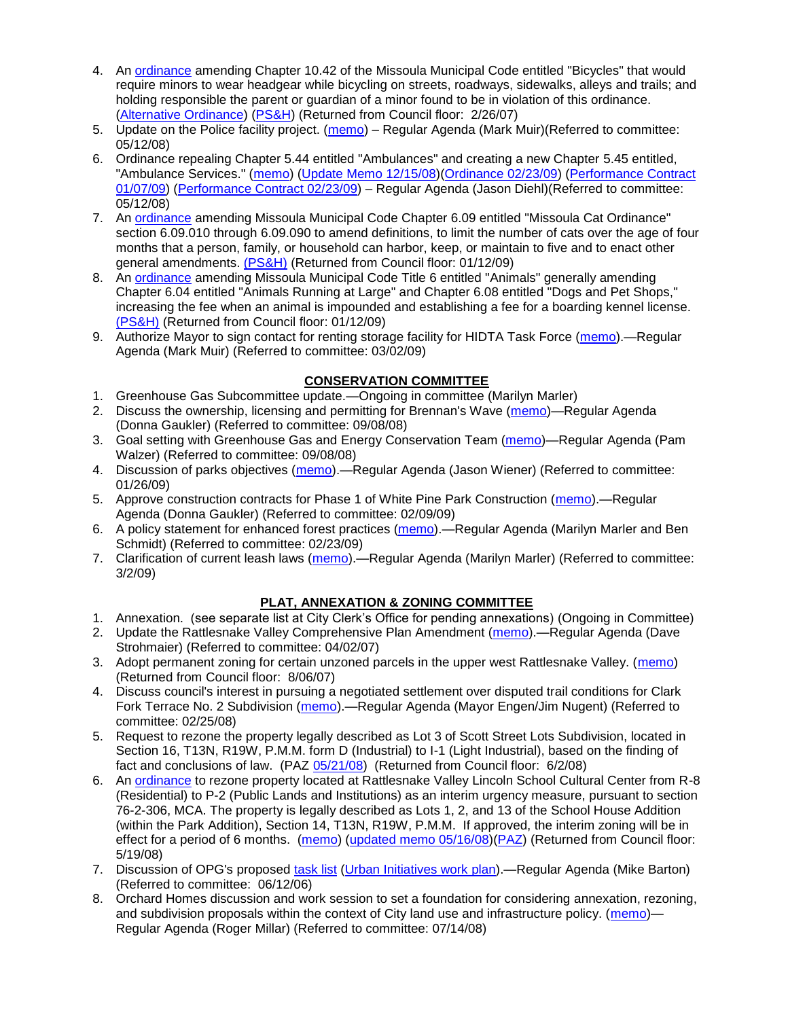- 4. An [ordinance](ftp://ftp.ci.missoula.mt.us/Packets/Council/2007/2007-02-05/07-01-31 Helmet and bikes psh.htm) amending Chapter 10.42 of the Missoula Municipal Code entitled "Bicycles" that would require minors to wear headgear while bicycling on streets, roadways, sidewalks, alleys and trails; and holding responsible the parent or guardian of a minor found to be in violation of this ordinance. [\(Alternative Ordinance\)](ftp://ftp.ci.missoula.mt.us/Packets/Council/2007/2007-02-26/07-02-19_Alternative_Helmet_and_bikes.htm) [\(PS&H\)](ftp://ftp.ci.missoula.mt.us/Packets/Council/2007/2007-02-05/070131psh.pdf) (Returned from Council floor: 2/26/07)
- 5. Update on the Police facility project. [\(memo\)](ftp://ftp.ci.missoula.mt.us/Packets/Council/2008/2008-05-12/Referrals/Buildingpresentationreferral.htm) Regular Agenda (Mark Muir)(Referred to committee: 05/12/08)
- 6. Ordinance repealing Chapter 5.44 entitled "Ambulances" and creating a new Chapter 5.45 entitled, "Ambulance Services." [\(memo\)](ftp://ftp.ci.missoula.mt.us/Packets/Council/2008/2008-05-12/Referrals/080508AmbulanceOrdinanceReferral.htm) [\(Update Memo 12/15/08\)](ftp://ftp.ci.missoula.mt.us/Packets/Council/2008/2008-12-15/081212AmbulanceOrdinanceReferralUpdated.pdf)[\(Ordinance 02/23/09\)](ftp://ftp.ci.missoula.mt.us/Packets/Council/2009/2009-04-06/AmbulanceOrdinanceFinal090223.pdf) [\(Performance Contract](ftp://ftp.ci.missoula.mt.us/Packets/Council/2009/2009-01-12/MESIPerformanceContract090107.pdf)  [01/07/09\)](ftp://ftp.ci.missoula.mt.us/Packets/Council/2009/2009-01-12/MESIPerformanceContract090107.pdf) [\(Performance Contract 02/23/09\)](ftp://ftp.ci.missoula.mt.us/Packets/Council/2009/2009-04-06/PerformanceContractFinal090223.pdf) – Regular Agenda (Jason Diehl)(Referred to committee: 05/12/08)
- 7. An [ordinance](ftp://ftp.ci.missoula.mt.us/Packets/Council/2008/2008-12-15/2008CatOrdinanceAmendment%5B1%5D.pdf) amending Missoula Municipal Code Chapter 6.09 entitled "Missoula Cat Ordinance" section 6.09.010 through 6.09.090 to amend definitions, to limit the number of cats over the age of four months that a person, family, or household can harbor, keep, or maintain to five and to enact other general amendments. [\(PS&H\)](ftp://ftp.ci.missoula.mt.us/Packets/Council/2008/2008-12-15/081210psh.pdf) (Returned from Council floor: 01/12/09)
- 8. An [ordinance](ftp://ftp.ci.missoula.mt.us/Packets/Council/2008/2008-12-15/DogOrdinance--PSHrevisions.pdf) amending Missoula Municipal Code Title 6 entitled "Animals" generally amending Chapter 6.04 entitled "Animals Running at Large" and Chapter 6.08 entitled "Dogs and Pet Shops," increasing the fee when an animal is impounded and establishing a fee for a boarding kennel license. [\(PS&H\)](ftp://ftp.ci.missoula.mt.us/Packets/Council/2008/2008-12-15/081210psh.pdf) (Returned from Council floor: 01/12/09)
- 9. Authorize Mayor to sign contact for renting storage facility for HIDTA Task Force [\(memo\)](ftp://ftp.ci.missoula.mt.us/Packets/Council/2009/2009-03-02/Referrals/HIDTA_Storage_Facility.pdf)—Regular Agenda (Mark Muir) (Referred to committee: 03/02/09)

## **CONSERVATION COMMITTEE**

- 1. Greenhouse Gas Subcommittee update.—Ongoing in committee (Marilyn Marler)
- 2. Discuss the ownership, licensing and permitting for Brennan's Wave [\(memo\)](ftp://ftp.ci.missoula.mt.us/Packets/Council/2008/2008-09-08/Referrals/ReferralBrennansWaveLicensing.pdf)—Regular Agenda (Donna Gaukler) (Referred to committee: 09/08/08)
- 3. Goal setting with Greenhouse Gas and Energy Conservation Team [\(memo\)](ftp://ftp.ci.missoula.mt.us/Packets/Council/2008/2008-09-08/Referrals/GGECTdialog.pdf)—Regular Agenda (Pam Walzer) (Referred to committee: 09/08/08)
- 4. Discussion of parks objectives [\(memo\)](ftp://ftp.ci.missoula.mt.us/Packets/Council/2009/2009-01-26/Referrals/parks_projects_referral.pdf).—Regular Agenda (Jason Wiener) (Referred to committee: 01/26/09)
- 5. Approve construction contracts for Phase 1 of White Pine Park Construction [\(memo\)](ftp://ftp.ci.missoula.mt.us/Packets/Council/2009/2009-02-09/Referrals/ReferralWhitePinePark/(2/).pdf).—Regular Agenda (Donna Gaukler) (Referred to committee: 02/09/09)
- 6. A policy statement for enhanced forest practices [\(memo\)](ftp://ftp.ci.missoula.mt.us/Packets/Council/2009/2009-02-23/Referrals/Forest_Practices_Referral.pdf).—Regular Agenda (Marilyn Marler and Ben Schmidt) (Referred to committee: 02/23/09)
- 7. Clarification of current leash laws [\(memo\)](ftp://ftp.ci.missoula.mt.us/Packets/Council/2009/2009-03-02/Referrals/leash_law_discussion_referral.pdf).—Regular Agenda (Marilyn Marler) (Referred to committee: 3/2/09)

# **PLAT, ANNEXATION & ZONING COMMITTEE**

- 1. Annexation. (see separate list at City Clerk's Office for pending annexations) (Ongoing in Committee)
- 2. Update the Rattlesnake Valley Comprehensive Plan Amendment [\(memo\)](ftp://ftp.ci.missoula.mt.us/Packets/Council/2007/2007-04-02/Referrals/Rattlesnake_Plan_Update_referral.pdf).—Regular Agenda (Dave Strohmaier) (Referred to committee: 04/02/07)
- 3. Adopt permanent zoning for certain unzoned parcels in the upper west Rattlesnake Valley. [\(memo\)](ftp://ftp.ci.missoula.mt.us/Packets/Council/2007/2007-03-26/Referrals/P-1_zoning_ref.htm) (Returned from Council floor: 8/06/07)
- 4. Discuss council's interest in pursuing a negotiated settlement over disputed trail conditions for Clark Fork Terrace No. 2 Subdivision [\(memo\)](ftp://ftp.ci.missoula.mt.us/Packets/Council/2008/2008-02-25/Referrals/Clark_Fork_Terrace_2.pdf).—Regular Agenda (Mayor Engen/Jim Nugent) (Referred to committee: 02/25/08)
- 5. Request to rezone the property legally described as Lot 3 of Scott Street Lots Subdivision, located in Section 16, T13N, R19W, P.M.M. form D (Industrial) to I-1 (Light Industrial), based on the finding of fact and conclusions of law. (PAZ [05/21/08\)](ftp://ftp.ci.missoula.mt.us/Packets/Council/2008/2008-06-02/080521paz.pdf) (Returned from Council floor: 6/2/08)
- 6. An [ordinance](ftp://ftp.ci.missoula.mt.us/Packets/Council/2008/2008-05-19/Public_Hearings/LincolnSchoolInterimP-2ord.pdf) to rezone property located at Rattlesnake Valley Lincoln School Cultural Center from R-8 (Residential) to P-2 (Public Lands and Institutions) as an interim urgency measure, pursuant to section 76-2-306, MCA. The property is legally described as Lots 1, 2, and 13 of the School House Addition (within the Park Addition), Section 14, T13N, R19W, P.M.M. If approved, the interim zoning will be in effect for a period of 6 months. [\(memo\)](ftp://ftp.ci.missoula.mt.us/Packets/Council/2008/2008-05-19/Public_Hearings/LincolnSchoolInterimPermZonMemo.pdf) [\(updated memo 05/16/08\)](ftp://ftp.ci.missoula.mt.us/Packets/Council/2008/2008-05-19/Public_Hearings/LincolnSchoolInterimPermZonMemo.pdf)[\(PAZ\)](ftp://ftp.ci.missoula.mt.us/Packets/Council/2008/2008-05-12/080507paz.htm) (Returned from Council floor: 5/19/08)
- 7. Discussion of OPG's proposed [task list](ftp://ftp.ci.missoula.mt.us/Packets/Council/2008/2008-07-07/UITaskList.pdf) [\(Urban Initiatives work plan\)](ftp://ftp.ci.missoula.mt.us/Packets/Council/2006/2006-06-12/Referrals/Urban_Init.htm).—Regular Agenda (Mike Barton) (Referred to committee: 06/12/06)
- 8. Orchard Homes discussion and work session to set a foundation for considering annexation, rezoning, and subdivision proposals within the context of City land use and infrastructure policy. [\(memo\)](ftp://ftp.ci.missoula.mt.us/Packets/Council/2008/2008-07-14/Referrals/OrchardHomesDiscMemo.pdf)— Regular Agenda (Roger Millar) (Referred to committee: 07/14/08)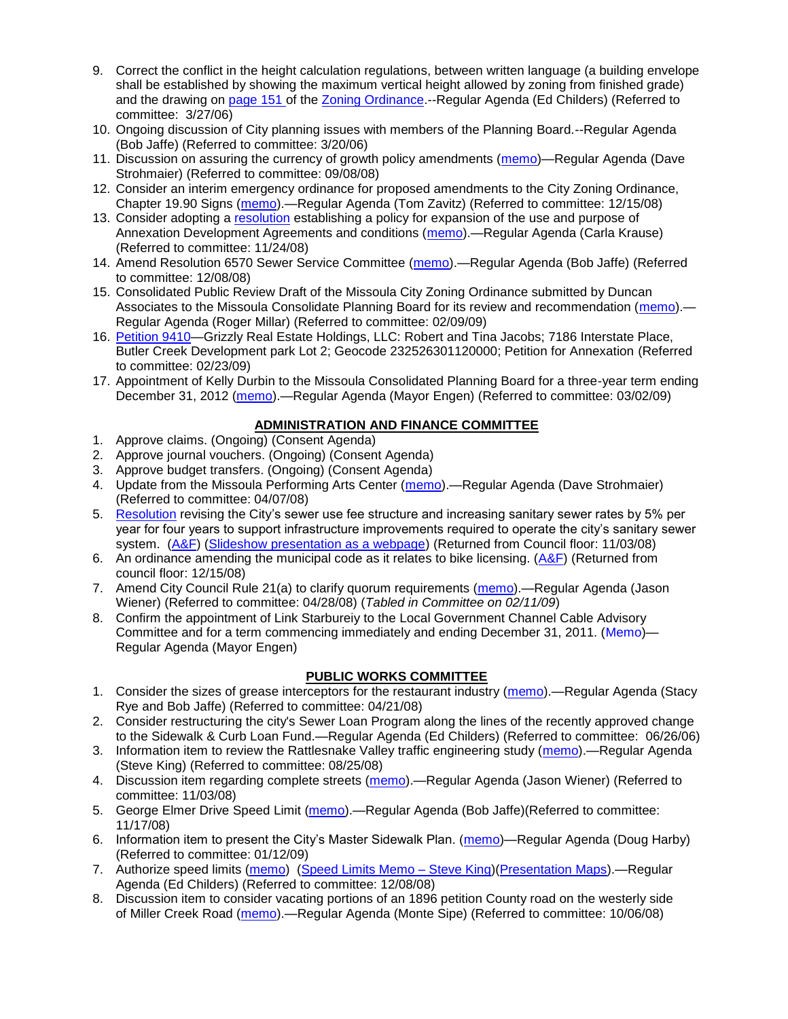- 9. Correct the conflict in the height calculation regulations, between written language (a building envelope shall be established by showing the maximum vertical height allowed by zoning from finished grade) and the drawing on [page 151 o](ftp://www.co.missoula.mt.us/opg2/Documents/CurrentRegulations/CityZoningTitle19/CH19.67Hillside.pdf)f the [Zoning Ordinance.](ftp://www.co.missoula.mt.us/opg2/Documents/CurrentRegulations/CityZoningTitle19/CityOrdinanceLP.htm) - Regular Agenda (Ed Childers) (Referred to committee: 3/27/06)
- 10. Ongoing discussion of City planning issues with members of the Planning Board.--Regular Agenda (Bob Jaffe) (Referred to committee: 3/20/06)
- 11. Discussion on assuring the currency of growth policy amendments [\(memo\)](ftp://ftp.ci.missoula.mt.us/Packets/Council/2008/2008-09-08/Referrals/Plan_updates.pdf)—Regular Agenda (Dave Strohmaier) (Referred to committee: 09/08/08)
- 12. Consider an interim emergency ordinance for proposed amendments to the City Zoning Ordinance, Chapter 19.90 Signs [\(memo\)](ftp://ftp.ci.missoula.mt.us/Packets/Council/2008/2008-12-15/Referrals/ElectronicSignOrdinanceMemo.pdf).—Regular Agenda (Tom Zavitz) (Referred to committee: 12/15/08)
- 13. Consider adopting a [resolution](ftp://ftp.ci.missoula.mt.us/Packets/Council/2008/2008-12-08/RESOLUTION-DevelopmentAgreements.pdf) establishing a policy for expansion of the use and purpose of Annexation Development Agreements and conditions [\(memo\)](ftp://ftp.ci.missoula.mt.us/Packets/Council/2008/2008-11-24/Referrals/REFERRAL-DevelopmentAgreements.pdf).—Regular Agenda (Carla Krause) (Referred to committee: 11/24/08)
- 14. Amend Resolution 6570 Sewer Service Committee [\(memo\)](ftp://ftp.ci.missoula.mt.us/Packets/Council/2008/2008-12-08/Referrals/SewerServiceCommittee.pdf).—Regular Agenda (Bob Jaffe) (Referred to committee: 12/08/08)
- 15. Consolidated Public Review Draft of the Missoula City Zoning Ordinance submitted by Duncan Associates to the Missoula Consolidate Planning Board for its review and recommendation [\(memo\)](ftp://ftp.ci.missoula.mt.us/Packets/Council/2009/2009-02-09/Referrals/CodeRewritetoPBMemo.pdf) — Regular Agenda (Roger Millar) (Referred to committee: 02/09/09)
- 16. [Petition 9410—](ftp://ftp.ci.missoula.mt.us/Packets/Council/2009/2009-02-23/Referrals/Petition9410.pdf)Grizzly Real Estate Holdings, LLC: Robert and Tina Jacobs; 7186 Interstate Place, Butler Creek Development park Lot 2; Geocode 232526301120000; Petition for Annexation (Referred to committee: 02/23/09)
- 17. Appointment of Kelly Durbin to the Missoula Consolidated Planning Board for a three-year term ending December 31, 2012 [\(memo\)](ftp://ftp.ci.missoula.mt.us/Packets/Council/2009/2009-03-02/Referrals/ReferralMCPB.pdf).—Regular Agenda (Mayor Engen) (Referred to committee: 03/02/09)

## **ADMINISTRATION AND FINANCE COMMITTEE**

- 1. Approve claims. (Ongoing) (Consent Agenda)
- 2. Approve journal vouchers. (Ongoing) (Consent Agenda)
- 3. Approve budget transfers. (Ongoing) (Consent Agenda)
- 4. Update from the Missoula Performing Arts Center [\(memo\)](ftp://ftp.ci.missoula.mt.us/Packets/Council/2008/2008-04-07/Referrals/Performing_Arts_Center.pdf).—Regular Agenda (Dave Strohmaier) (Referred to committee: 04/07/08)
- 5. [Resolution](ftp://ftp.ci.missoula.mt.us/Packets/Council/2008/2008-09-22/referrals/Sewerrateresolution.pdf) revising the City's sewer use fee structure and increasing sanitary sewer rates by 5% per year for four years to support infrastructure improvements required to operate the city's sanitary sewer system. [\(A&F\)](ftp://ftp.ci.missoula.mt.us/Packets/Council/2008/2008-10-06/081001af.pdf) [\(Slideshow presentation as a webpage\)](ftp://ftp.ci.missoula.mt.us/Packets/Council/2008/2008-11-03/2008-11-03SewerUserRateIncrease_files/frame.htm) (Returned from Council floor: 11/03/08)
- 6. An ordinance amending the municipal code as it relates to bike licensing.  $(A&F)$  (Returned from council floor: 12/15/08)
- 7. Amend City Council Rule 21(a) to clarify quorum requirements [\(memo\)](ftp://ftp.ci.missoula.mt.us/Packets/Council/2008/2008-04-28/Referrals/CouncilRule21aReferral.pdf).—Regular Agenda (Jason Wiener) (Referred to committee: 04/28/08) (*Tabled in Committee on 02/11/09*)
- 8. Confirm the appointment of Link Starbureiy to the Local Government Channel Cable Advisory Committee and for a term commencing immediately and ending December 31, 2011. [\(Memo\)](ftp://ftp.ci.missoula.mt.us/Packets/Council/2009/2009-03-02/Referrals/GCCACRef.pdf)— Regular Agenda (Mayor Engen)

## **PUBLIC WORKS COMMITTEE**

- 1. Consider the sizes of grease interceptors for the restaurant industry [\(memo\)](ftp://ftp.ci.missoula.mt.us/Packets/Council/2008/2008-04-21/Referrals/Industrial_waste_restaurants.pdf).—Regular Agenda (Stacy Rye and Bob Jaffe) (Referred to committee: 04/21/08)
- 2. Consider restructuring the city's Sewer Loan Program along the lines of the recently approved change to the Sidewalk & Curb Loan Fund.—Regular Agenda (Ed Childers) (Referred to committee: 06/26/06)
- 3. Information item to review the Rattlesnake Valley traffic engineering study [\(memo\)](ftp://ftp.ci.missoula.mt.us/packets/council/2008/2008-08-25/Referrals/RsnakeTrfficStudyREF.pdf).—Regular Agenda (Steve King) (Referred to committee: 08/25/08)
- 4. Discussion item regarding complete streets [\(memo\)](ftp://ftp.ci.missoula.mt.us/Packets/Council/2008/2008-11-03/Referrals/completestreetsreferral.pdf).—Regular Agenda (Jason Wiener) (Referred to committee: 11/03/08)
- 5. George Elmer Drive Speed Limit [\(memo\)](ftp://ftp.ci.missoula.mt.us/Packets/Council/2008/2008-11-17/Referrals/GeorgeElmerSpeedLimit.pdf).—Regular Agenda (Bob Jaffe)(Referred to committee: 11/17/08)
- 6. Information item to present the City's Master Sidewalk Plan. [\(memo\)](ftp://ftp.ci.missoula.mt.us/packets/council/2009/2009-01-12/Referrals/MstrSdwlkPlnREF.pdf)—Regular Agenda (Doug Harby) (Referred to committee: 01/12/09)
- 7. Authorize speed limits [\(memo\)](ftp://ftp.ci.missoula.mt.us/Packets/Council/2008/2008-12-08/Referrals/ReferralAuthorizeSpeedLimits.pdf) (Speed Limits Memo Steve King)[\(Presentation Maps\)](ftp://ftp.ci.missoula.mt.us/packets/council/2009/2009-01-05/Referrals/SpeedPresentation.pdf). Regular Agenda (Ed Childers) (Referred to committee: 12/08/08)
- 8. Discussion item to consider vacating portions of an 1896 petition County road on the westerly side of Miller Creek Road [\(memo\)](ftp://ftp.ci.missoula.mt.us/packets/council/2008/2008-10-06/Referrals/MllrCkROWVacREF.pdf).—Regular Agenda (Monte Sipe) (Referred to committee: 10/06/08)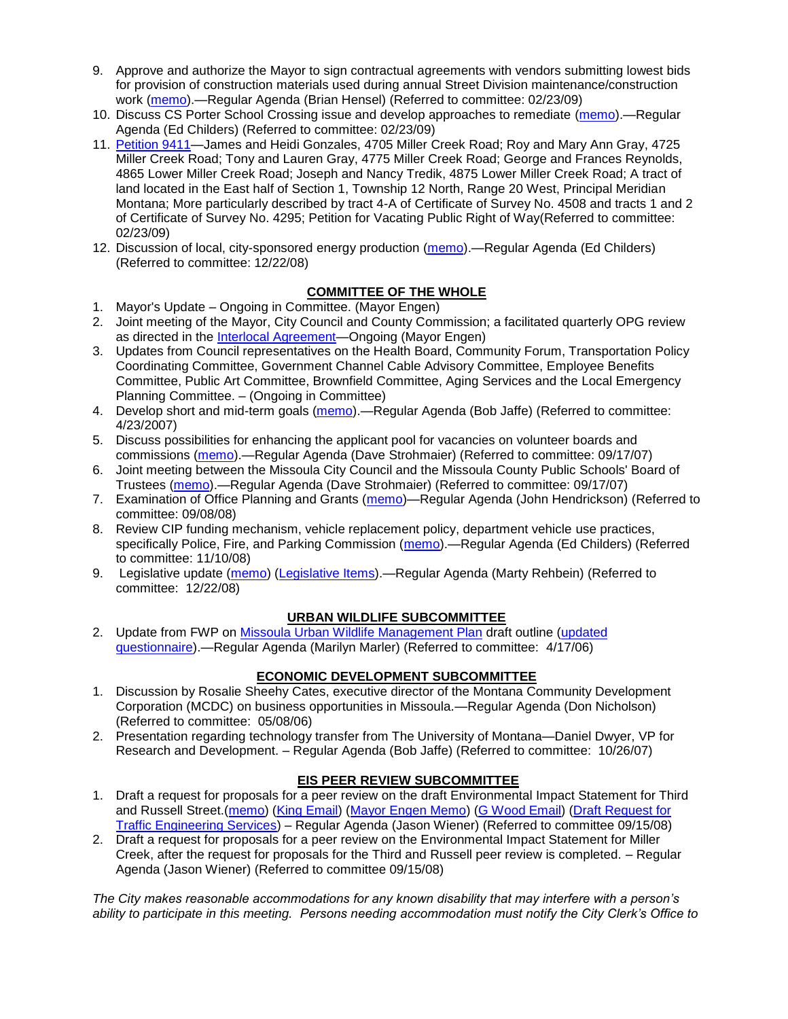- 9. Approve and authorize the Mayor to sign contractual agreements with vendors submitting lowest bids for provision of construction materials used during annual Street Division maintenance/construction work [\(memo\)](ftp://ftp.ci.missoula.mt.us/packets/council/2009/2009-02-23/Referrals/StreetsMtrialsBidREF.pdf).—Regular Agenda (Brian Hensel) (Referred to committee: 02/23/09)
- 10. Discuss CS Porter School Crossing issue and develop approaches to remediate [\(memo\)](ftp://ftp.ci.missoula.mt.us/Packets/Council/2009/2009-02-23/Referrals/ReferralCSPorter.pdf).—Regular Agenda (Ed Childers) (Referred to committee: 02/23/09)
- 11. [Petition 9411—](ftp://ftp.ci.missoula.mt.us/Packets/Council/2009/2009-02-23/Referrals/Petition9411.pdf)James and Heidi Gonzales, 4705 Miller Creek Road; Roy and Mary Ann Gray, 4725 Miller Creek Road; Tony and Lauren Gray, 4775 Miller Creek Road; George and Frances Reynolds, 4865 Lower Miller Creek Road; Joseph and Nancy Tredik, 4875 Lower Miller Creek Road; A tract of land located in the East half of Section 1, Township 12 North, Range 20 West, Principal Meridian Montana; More particularly described by tract 4-A of Certificate of Survey No. 4508 and tracts 1 and 2 of Certificate of Survey No. 4295; Petition for Vacating Public Right of Way(Referred to committee: 02/23/09)
- 12. Discussion of local, city-sponsored energy production [\(memo\)](ftp://ftp.ci.missoula.mt.us/Packets/Council/2008/2008-12-22/Referrals/LocaLPowerReferral.pdf).—Regular Agenda (Ed Childers) (Referred to committee: 12/22/08)

## **COMMITTEE OF THE WHOLE**

- 1. Mayor's Update Ongoing in Committee. (Mayor Engen)
- 2. Joint meeting of the Mayor, City Council and County Commission; a facilitated quarterly OPG review as directed in the [Interlocal Agreement—](ftp://ftp.ci.missoula.mt.us/Documents/Mayor/OPG/Adopted-ILA-2005.pdf)Ongoing (Mayor Engen)
- 3. Updates from Council representatives on the Health Board, Community Forum, Transportation Policy Coordinating Committee, Government Channel Cable Advisory Committee, Employee Benefits Committee, Public Art Committee, Brownfield Committee, Aging Services and the Local Emergency Planning Committee. – (Ongoing in Committee)
- 4. Develop short and mid-term goals [\(memo\)](ftp://ftp.ci.missoula.mt.us/Packets/Council/2007/2007-04-23/Referrals/Council_Goals.pdf).—Regular Agenda (Bob Jaffe) (Referred to committee: 4/23/2007)
- 5. Discuss possibilities for enhancing the applicant pool for vacancies on volunteer boards and commissions [\(memo\)](ftp://ftp.ci.missoula.mt.us/Packets/Council/2007/2007-09-17/Referrals/board_and_commission_recruitment.pdf).—Regular Agenda (Dave Strohmaier) (Referred to committee: 09/17/07)
- 6. Joint meeting between the Missoula City Council and the Missoula County Public Schools' Board of Trustees [\(memo\)](ftp://ftp.ci.missoula.mt.us/Packets/Council/2007/2007-09-17/Referrals/Council_School_Board_referral.pdf).—Regular Agenda (Dave Strohmaier) (Referred to committee: 09/17/07)
- 7. Examination of Office Planning and Grants [\(memo\)](ftp://ftp.ci.missoula.mt.us/Packets/Council/2008/2008-09-08/Referrals/080825HendricksonOPGreferral.pdf)—Regular Agenda (John Hendrickson) (Referred to committee: 09/08/08)
- 8. Review CIP funding mechanism, vehicle replacement policy, department vehicle use practices, specifically Police, Fire, and Parking Commission [\(memo\)](ftp://ftp.ci.missoula.mt.us/Packets/Council/2008/2008-11-10/Referrals/ReviewBudgetary.pdf).—Regular Agenda (Ed Childers) (Referred to committee: 11/10/08)
- 9. Legislative update [\(memo\)](ftp://ftp.ci.missoula.mt.us/Packets/Council/2008/2008-12-22/Referrals/LegislativeUpdate.pdf) [\(Legislative Items\)](https://missoulagov.sharepointsite.net/Public/Public.aspx).—Regular Agenda (Marty Rehbein) (Referred to committee: 12/22/08)

## **URBAN WILDLIFE SUBCOMMITTEE**

2. Update from FWP on [Missoula Urban Wildlife Management Plan](ftp://ftp.ci.missoula.mt.us/Packets/Council/2006/2006-05-22/UW_mgmt_plan.htm) draft outline (updated [questionnaire\)](ftp://ftp.ci.missoula.mt.us/Packets/Council/2006/2006-09-25/Referrals/060925_UWS_Survey.htm).—Regular Agenda (Marilyn Marler) (Referred to committee: 4/17/06)

## **ECONOMIC DEVELOPMENT SUBCOMMITTEE**

- 1. Discussion by Rosalie Sheehy Cates, executive director of the Montana Community Development Corporation (MCDC) on business opportunities in Missoula.—Regular Agenda (Don Nicholson) (Referred to committee: 05/08/06)
- 2. Presentation regarding technology transfer from The University of Montana—Daniel Dwyer, VP for Research and Development. – Regular Agenda (Bob Jaffe) (Referred to committee: 10/26/07)

## **EIS PEER REVIEW SUBCOMMITTEE**

- 1. Draft a request for proposals for a peer review on the draft Environmental Impact Statement for Third and Russell Street.[\(memo\)](ftp://ftp.ci.missoula.mt.us/Packets/Council/2008/2008-09-22/Referrals/3rdRussell_peer_review_referral.pdf) [\(King Email\)](ftp://ftp.ci.missoula.mt.us/Packets/Council/2008/2008-11-24/SKingEmailEISPeerReviewUpdate.pdf) [\(Mayor Engen Memo\)](ftp://ftp.ci.missoula.mt.us/Packets/Council/2008/2008-11-24/RussellThirdEngenMemo111508.pdf) [\(G Wood Email\)](ftp://ftp.ci.missoula.mt.us/Packets/Council/2008/2008-11-24/GWoodEmailEISPeerReviewUpdate.pdf) [\(Draft Request for](ftp://ftp.ci.missoula.mt.us/Packets/Council/2008/2008-11-24/TrafficEngrngSrvcsRqst.pdf)  [Traffic Engineering Services\)](ftp://ftp.ci.missoula.mt.us/Packets/Council/2008/2008-11-24/TrafficEngrngSrvcsRqst.pdf) – Regular Agenda (Jason Wiener) (Referred to committee 09/15/08)
- 2. Draft a request for proposals for a peer review on the Environmental Impact Statement for Miller Creek, after the request for proposals for the Third and Russell peer review is completed. – Regular Agenda (Jason Wiener) (Referred to committee 09/15/08)

*The City makes reasonable accommodations for any known disability that may interfere with a person's ability to participate in this meeting. Persons needing accommodation must notify the City Clerk's Office to*